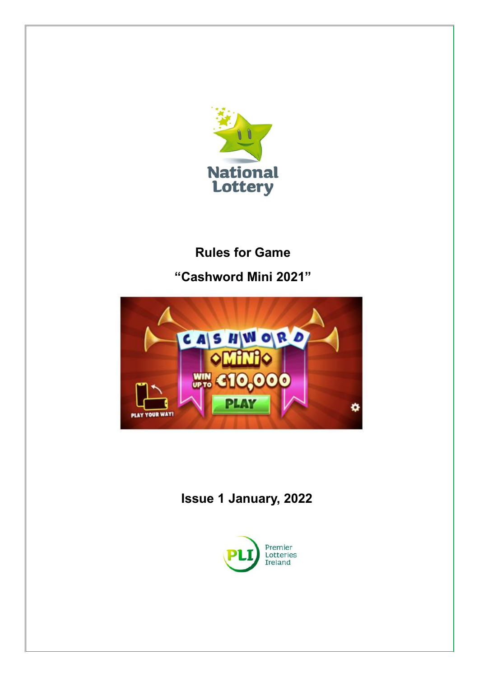

# **Rules for Game**

**"Cashword Mini 2021"**



## **Issue 1 January, 2022**

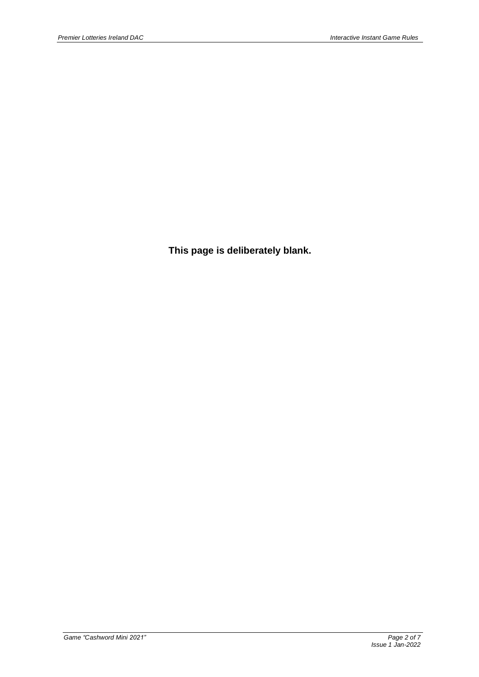**This page is deliberately blank.**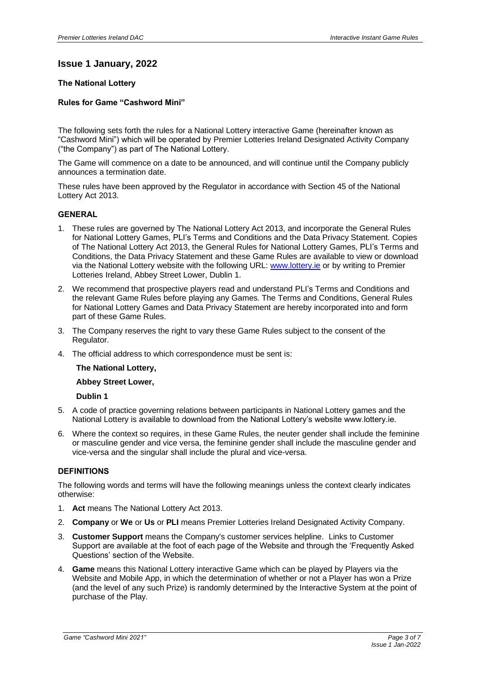## **Issue 1 January, 2022**

#### **The National Lottery**

#### **Rules for Game "Cashword Mini"**

The following sets forth the rules for a National Lottery interactive Game (hereinafter known as "Cashword Mini") which will be operated by Premier Lotteries Ireland Designated Activity Company ("the Company") as part of The National Lottery.

The Game will commence on a date to be announced, and will continue until the Company publicly announces a termination date.

These rules have been approved by the Regulator in accordance with Section 45 of the National Lottery Act 2013.

#### **GENERAL**

- 1. These rules are governed by The National Lottery Act 2013, and incorporate the General Rules for National Lottery Games, PLI's Terms and Conditions and the Data Privacy Statement. Copies of The National Lottery Act 2013, the General Rules for National Lottery Games, PLI's Terms and Conditions, the Data Privacy Statement and these Game Rules are available to view or download via the National Lottery website with the following URL: [www.lottery.ie](http://www.lotto.ie/) or by writing to Premier Lotteries Ireland, Abbey Street Lower, Dublin 1.
- 2. We recommend that prospective players read and understand PLI's Terms and Conditions and the relevant Game Rules before playing any Games. The Terms and Conditions, General Rules for National Lottery Games and Data Privacy Statement are hereby incorporated into and form part of these Game Rules.
- 3. The Company reserves the right to vary these Game Rules subject to the consent of the Regulator.
- 4. The official address to which correspondence must be sent is:

#### **The National Lottery,**

**Abbey Street Lower,**

#### **Dublin 1**

- 5. A code of practice governing relations between participants in National Lottery games and the National Lottery is available to download from the National Lottery's website www.lottery.ie.
- 6. Where the context so requires, in these Game Rules, the neuter gender shall include the feminine or masculine gender and vice versa, the feminine gender shall include the masculine gender and vice-versa and the singular shall include the plural and vice-versa.

#### **DEFINITIONS**

The following words and terms will have the following meanings unless the context clearly indicates otherwise:

- 1. **Act** means The National Lottery Act 2013.
- 2. **Company** or **We** or **Us** or **PLI** means Premier Lotteries Ireland Designated Activity Company.
- 3. **Customer Support** means the Company's customer services helpline. Links to Customer Support are available at the foot of each page of the Website and through the 'Frequently Asked Questions' section of the Website.
- 4. **Game** means this National Lottery interactive Game which can be played by Players via the Website and Mobile App, in which the determination of whether or not a Player has won a Prize (and the level of any such Prize) is randomly determined by the Interactive System at the point of purchase of the Play.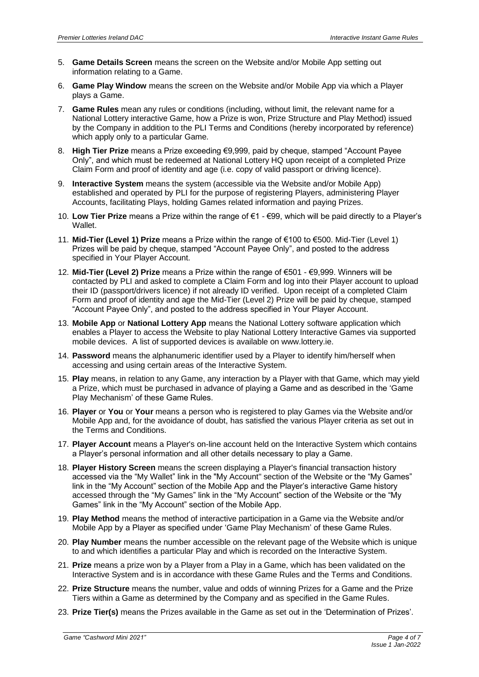- 5. **Game Details Screen** means the screen on the Website and/or Mobile App setting out information relating to a Game.
- 6. **Game Play Window** means the screen on the Website and/or Mobile App via which a Player plays a Game.
- 7. **Game Rules** mean any rules or conditions (including, without limit, the relevant name for a National Lottery interactive Game, how a Prize is won, Prize Structure and Play Method) issued by the Company in addition to the PLI Terms and Conditions (hereby incorporated by reference) which apply only to a particular Game.
- 8. **High Tier Prize** means a Prize exceeding €9,999, paid by cheque, stamped "Account Payee Only", and which must be redeemed at National Lottery HQ upon receipt of a completed Prize Claim Form and proof of identity and age (i.e. copy of valid passport or driving licence).
- 9. **Interactive System** means the system (accessible via the Website and/or Mobile App) established and operated by PLI for the purpose of registering Players, administering Player Accounts, facilitating Plays, holding Games related information and paying Prizes.
- 10. **Low Tier Prize** means a Prize within the range of €1 €99, which will be paid directly to a Player's Wallet.
- 11. **Mid-Tier (Level 1) Prize** means a Prize within the range of €100 to €500. Mid-Tier (Level 1) Prizes will be paid by cheque, stamped "Account Payee Only", and posted to the address specified in Your Player Account.
- 12. **Mid-Tier (Level 2) Prize** means a Prize within the range of €501 €9,999. Winners will be contacted by PLI and asked to complete a Claim Form and log into their Player account to upload their ID (passport/drivers licence) if not already ID verified. Upon receipt of a completed Claim Form and proof of identity and age the Mid-Tier (Level 2) Prize will be paid by cheque, stamped "Account Payee Only", and posted to the address specified in Your Player Account.
- 13. **Mobile App** or **National Lottery App** means the National Lottery software application which enables a Player to access the Website to play National Lottery Interactive Games via supported mobile devices. A list of supported devices is available on www.lottery.ie.
- 14. **Password** means the alphanumeric identifier used by a Player to identify him/herself when accessing and using certain areas of the Interactive System.
- 15. **Play** means, in relation to any Game, any interaction by a Player with that Game, which may yield a Prize, which must be purchased in advance of playing a Game and as described in the 'Game Play Mechanism' of these Game Rules.
- 16. **Player** or **You** or **Your** means a person who is registered to play Games via the Website and/or Mobile App and, for the avoidance of doubt, has satisfied the various Player criteria as set out in the Terms and Conditions.
- 17. **Player Account** means a Player's on-line account held on the Interactive System which contains a Player's personal information and all other details necessary to play a Game.
- 18. **Player History Screen** means the screen displaying a Player's financial transaction history accessed via the "My Wallet" link in the "My Account" section of the Website or the "My Games" link in the "My Account" section of the Mobile App and the Player's interactive Game history accessed through the "My Games" link in the "My Account" section of the Website or the "My Games" link in the "My Account" section of the Mobile App.
- 19. **Play Method** means the method of interactive participation in a Game via the Website and/or Mobile App by a Player as specified under 'Game Play Mechanism' of these Game Rules.
- 20. **Play Number** means the number accessible on the relevant page of the Website which is unique to and which identifies a particular Play and which is recorded on the Interactive System.
- 21. **Prize** means a prize won by a Player from a Play in a Game, which has been validated on the Interactive System and is in accordance with these Game Rules and the Terms and Conditions.
- 22. **Prize Structure** means the number, value and odds of winning Prizes for a Game and the Prize Tiers within a Game as determined by the Company and as specified in the Game Rules.
- 23. **Prize Tier(s)** means the Prizes available in the Game as set out in the 'Determination of Prizes'.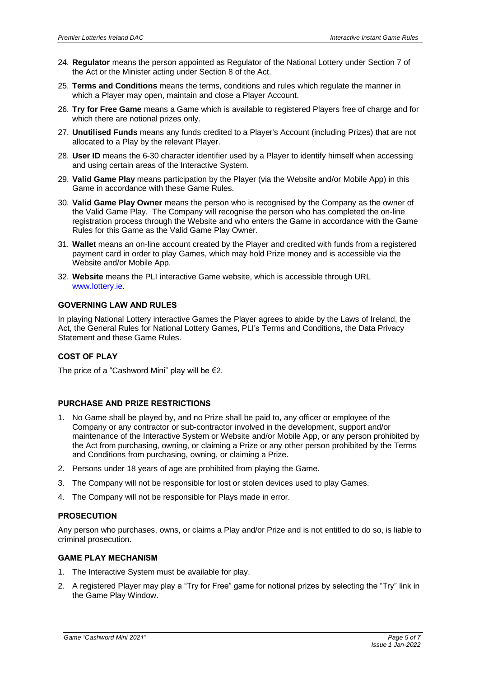- 24. **Regulator** means the person appointed as Regulator of the National Lottery under Section 7 of the Act or the Minister acting under Section 8 of the Act.
- 25. **Terms and Conditions** means the terms, conditions and rules which regulate the manner in which a Player may open, maintain and close a Player Account.
- 26. **Try for Free Game** means a Game which is available to registered Players free of charge and for which there are notional prizes only.
- 27. **Unutilised Funds** means any funds credited to a Player's Account (including Prizes) that are not allocated to a Play by the relevant Player.
- 28. **User ID** means the 6-30 character identifier used by a Player to identify himself when accessing and using certain areas of the Interactive System.
- 29. **Valid Game Play** means participation by the Player (via the Website and/or Mobile App) in this Game in accordance with these Game Rules.
- 30. **Valid Game Play Owner** means the person who is recognised by the Company as the owner of the Valid Game Play. The Company will recognise the person who has completed the on-line registration process through the Website and who enters the Game in accordance with the Game Rules for this Game as the Valid Game Play Owner.
- 31. **Wallet** means an on-line account created by the Player and credited with funds from a registered payment card in order to play Games, which may hold Prize money and is accessible via the Website and/or Mobile App.
- 32. **Website** means the PLI interactive Game website, which is accessible through URL www.lottery.ie.

## **GOVERNING LAW AND RULES**

In playing National Lottery interactive Games the Player agrees to abide by the Laws of Ireland, the Act, the General Rules for National Lottery Games, PLI's Terms and Conditions, the Data Privacy Statement and these Game Rules.

## **COST OF PLAY**

The price of a "Cashword Mini" play will be €2.

## **PURCHASE AND PRIZE RESTRICTIONS**

- 1. No Game shall be played by, and no Prize shall be paid to, any officer or employee of the Company or any contractor or sub-contractor involved in the development, support and/or maintenance of the Interactive System or Website and/or Mobile App, or any person prohibited by the Act from purchasing, owning, or claiming a Prize or any other person prohibited by the Terms and Conditions from purchasing, owning, or claiming a Prize.
- 2. Persons under 18 years of age are prohibited from playing the Game.
- 3. The Company will not be responsible for lost or stolen devices used to play Games.
- 4. The Company will not be responsible for Plays made in error.

#### **PROSECUTION**

Any person who purchases, owns, or claims a Play and/or Prize and is not entitled to do so, is liable to criminal prosecution.

## **GAME PLAY MECHANISM**

- 1. The Interactive System must be available for play.
- 2. A registered Player may play a "Try for Free" game for notional prizes by selecting the "Try" link in the Game Play Window.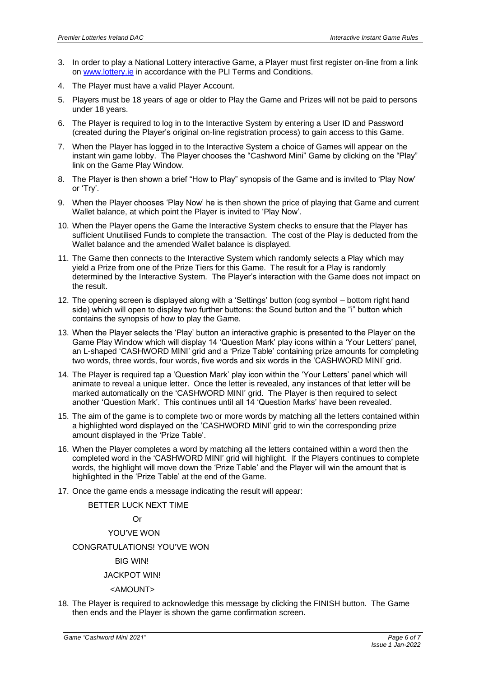- 3. In order to play a National Lottery interactive Game, a Player must first register on-line from a link on [www.lottery.ie](http://www.lotto.ie/) in accordance with the PLI Terms and Conditions.
- 4. The Player must have a valid Player Account.
- 5. Players must be 18 years of age or older to Play the Game and Prizes will not be paid to persons under 18 years.
- 6. The Player is required to log in to the Interactive System by entering a User ID and Password (created during the Player's original on-line registration process) to gain access to this Game.
- 7. When the Player has logged in to the Interactive System a choice of Games will appear on the instant win game lobby. The Player chooses the "Cashword Mini" Game by clicking on the "Play" link on the Game Play Window.
- 8. The Player is then shown a brief "How to Play" synopsis of the Game and is invited to 'Play Now' or 'Try'.
- 9. When the Player chooses 'Play Now' he is then shown the price of playing that Game and current Wallet balance, at which point the Player is invited to 'Play Now'.
- 10. When the Player opens the Game the Interactive System checks to ensure that the Player has sufficient Unutilised Funds to complete the transaction. The cost of the Play is deducted from the Wallet balance and the amended Wallet balance is displayed.
- 11. The Game then connects to the Interactive System which randomly selects a Play which may yield a Prize from one of the Prize Tiers for this Game. The result for a Play is randomly determined by the Interactive System. The Player's interaction with the Game does not impact on the result.
- 12. The opening screen is displayed along with a 'Settings' button (cog symbol bottom right hand side) which will open to display two further buttons: the Sound button and the "i" button which contains the synopsis of how to play the Game.
- 13. When the Player selects the 'Play' button an interactive graphic is presented to the Player on the Game Play Window which will display 14 'Question Mark' play icons within a 'Your Letters' panel, an L-shaped 'CASHWORD MINI' grid and a 'Prize Table' containing prize amounts for completing two words, three words, four words, five words and six words in the 'CASHWORD MINI' grid.
- 14. The Player is required tap a 'Question Mark' play icon within the 'Your Letters' panel which will animate to reveal a unique letter. Once the letter is revealed, any instances of that letter will be marked automatically on the 'CASHWORD MINI' grid. The Player is then required to select another 'Question Mark'. This continues until all 14 'Question Marks' have been revealed.
- 15. The aim of the game is to complete two or more words by matching all the letters contained within a highlighted word displayed on the 'CASHWORD MINI' grid to win the corresponding prize amount displayed in the 'Prize Table'.
- 16. When the Player completes a word by matching all the letters contained within a word then the completed word in the 'CASHWORD MINI' grid will highlight. If the Players continues to complete words, the highlight will move down the 'Prize Table' and the Player will win the amount that is highlighted in the 'Prize Table' at the end of the Game.
- 17. Once the game ends a message indicating the result will appear:

BETTER LUCK NEXT TIME

Or

YOU'VE WON

## CONGRATULATIONS! YOU'VE WON

BIG WIN!

JACKPOT WIN!

<AMOUNT>

18. The Player is required to acknowledge this message by clicking the FINISH button. The Game then ends and the Player is shown the game confirmation screen.